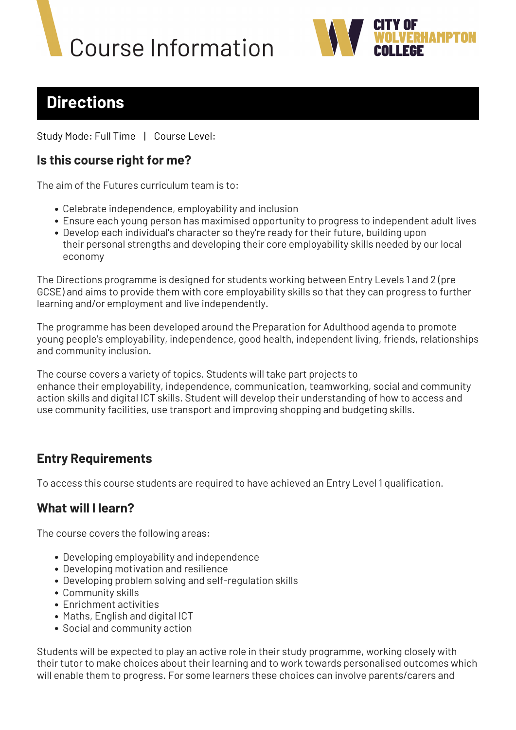# **Course Information**



# **Directions**

Study Mode: Full Time | Course Level:

#### **Is this course right for me?**

The aim of the Futures curriculum team is to:

- Celebrate independence, employability and inclusion
- Ensure each young person has maximised opportunity to progress to independent adult lives
- Develop each individual's character so they're ready for their future, building upon their personal strengths and developing their core employability skills needed by our local economy

The Directions programme is designed for students working between Entry Levels 1 and 2 (pre GCSE) and aims to provide them with core employability skills so that they can progress to further learning and/or employment and live independently.

The programme has been developed around the Preparation for Adulthood agenda to promote young people's employability, independence, good health, independent living, friends, relationships and community inclusion.

The course covers a variety of topics. Students will take part projects to enhance their employability, independence, communication, teamworking, social and community action skills and digital ICT skills. Student will develop their understanding of how to access and use community facilities, use transport and improving shopping and budgeting skills.

# **Entry Requirements**

To access this course students are required to have achieved an Entry Level 1 qualification.

#### **What will I learn?**

The course covers the following areas:

- Developing employability and independence
- Developing motivation and resilience
- Developing problem solving and self-regulation skills
- Community skills
- Enrichment activities
- Maths, English and digital ICT
- Social and community action

Students will be expected to play an active role in their study programme, working closely with their tutor to make choices about their learning and to work towards personalised outcomes which will enable them to progress. For some learners these choices can involve parents/carers and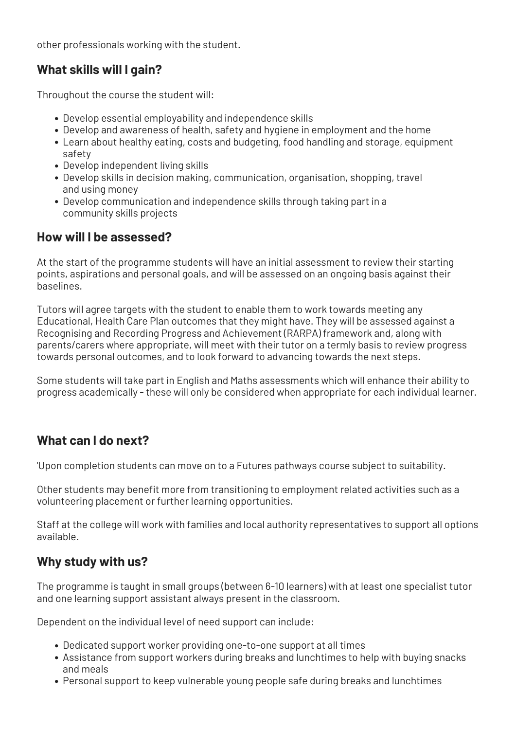other professionals working with the student.

### **What skills will I gain?**

Throughout the course the student will:

- Develop essential employability and independence skills
- Develop and awareness of health, safety and hygiene in employment and the home
- Learn about healthy eating, costs and budgeting, food handling and storage, equipment safety
- Develop independent living skills
- Develop skills in decision making, communication, organisation, shopping, travel and using money
- Develop communication and independence skills through taking part in a community skills projects

#### **How will I be assessed?**

At the start of the programme students will have an initial assessment to review their starting points, aspirations and personal goals, and will be assessed on an ongoing basis against their baselines.

Tutors will agree targets with the student to enable them to work towards meeting any Educational, Health Care Plan outcomes that they might have. They will be assessed against a Recognising and Recording Progress and Achievement (RARPA) framework and, along with parents/carers where appropriate, will meet with their tutor on a termly basis to review progress towards personal outcomes, and to look forward to advancing towards the next steps.

Some students will take part in English and Maths assessments which will enhance their ability to progress academically - these will only be considered when appropriate for each individual learner.

# **What can I do next?**

'Upon completion students can move on to a Futures pathways course subject to suitability.

Other students may benefit more from transitioning to employment related activities such as a volunteering placement or further learning opportunities.

Staff at the college will work with families and local authority representatives to support all options available.

#### **Why study with us?**

The programme is taught in small groups (between 6-10 learners) with at least one specialist tutor and one learning support assistant always present in the classroom.

Dependent on the individual level of need support can include:

- Dedicated support worker providing one-to-one support at all times
- Assistance from support workers during breaks and lunchtimes to help with buying snacks and meals
- Personal support to keep vulnerable young people safe during breaks and lunchtimes